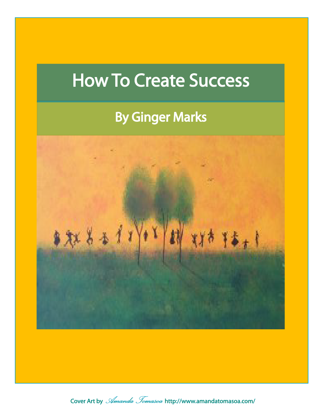# How To Create Success

## By Ginger Marks



Cover Art by *Amanda Tomasoa* [http://www.amandatomasoa.com/](http://www.amandatomasoa.com)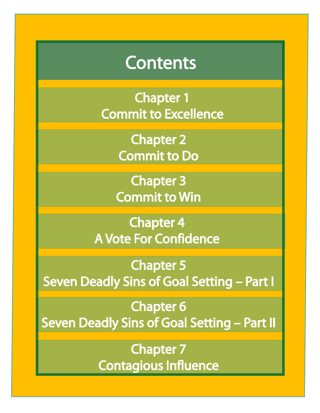## Contents

Chapter 1 Commit to Excellence

> Chapter 2 [Commit to Do](#page-3-0)

Chapter 3 [Commit to Win](#page-5-0)

Chapter 4 [A Vote For Confidence](#page-7-0)

Chapter 5 [Seven Deadly Sins of Goal Setting – Part I](#page-10-0)

Chapter 6 [Seven Deadly Sins of Goal Setting – Part II](#page-12-0)

> Chapter 7 [Contagious Influence](#page-15-0)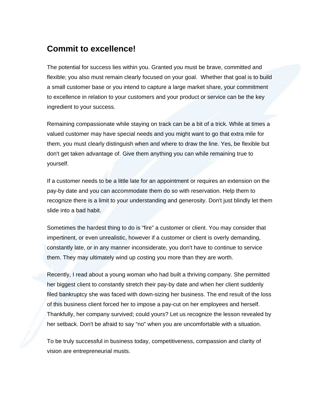#### **Commit to excellence!**

The potential for success lies within you. Granted you must be brave, committed and flexible; you also must remain clearly focused on your goal. Whether that goal is to build a small customer base or you intend to capture a large market share, your commitment to excellence in relation to your customers and your product or service can be the key ingredient to your success.

Remaining compassionate while staying on track can be a bit of a trick. While at times a valued customer may have special needs and you might want to go that extra mile for them, you must clearly distinguish when and where to draw the line. Yes, be flexible but don't get taken advantage of. Give them anything you can while remaining true to yourself.

If a customer needs to be a little late for an appointment or requires an extension on the pay-by date and you can accommodate them do so with reservation. Help them to recognize there is a limit to your understanding and generosity. Don't just blindly let them slide into a bad habit.

Sometimes the hardest thing to do is "fire" a customer or client. You may consider that impertinent, or even unrealistic, however if a customer or client is overly demanding, constantly late, or in any manner inconsiderate, you don't have to continue to service them. They may ultimately wind up costing you more than they are worth.

Recently, I read about a young woman who had built a thriving company. She permitted her biggest client to constantly stretch their pay-by date and when her client suddenly filed bankruptcy she was faced with down-sizing her business. The end result of the loss of this business client forced her to impose a pay-cut on her employees and herself. Thankfully, her company survived; could yours? Let us recognize the lesson revealed by her setback. Don't be afraid to say "no" when you are uncomfortable with a situation.

To be truly successful in business today, competitiveness, compassion and clarity of vision are entrepreneurial musts.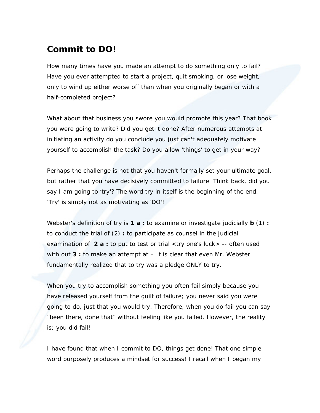### <span id="page-3-0"></span>**Commit to DO!**

How many times have you made an attempt to do something only to fail? Have you ever attempted to start a project, quit smoking, or lose weight, only to wind up either worse off than when you originally began or with a half-completed project?

What about that business you swore you would promote this year? That book you were going to write? Did you get it done? After numerous attempts at initiating an activity do you conclude you just can't adequately motivate yourself to accomplish the task? Do you allow 'things' to get in your way?

Perhaps the challenge is not that you haven't formally set your ultimate goal, but rather that you have decisively committed to failure. Think back, did you say I am going to 'try'? The word try in itself is the beginning of the end. 'Try' is simply not as motivating as 'DO'!

Webster's definition of try is **1 a :** to examine or investigate judicially **b** (1) **:** to conduct the trial of (2) **:** to participate as counsel in the judicial examination of **2 a :** to put to test or trial <*try* one's luck> -- often used with *out* **3 :** to make an attempt at – It is clear that even Mr. Webster fundamentally realized that to try was a pledge ONLY to try.

When you try to accomplish something you often fail simply because you have released yourself from the guilt of failure; you never said you were going to do, just that you would try. Therefore, when you do fail you can say "been there, done that" without feeling like you failed. However, the reality is; you did fail!

I have found that when I commit to DO, things get done! That one simple word purposely produces a mindset for success! I recall when I began my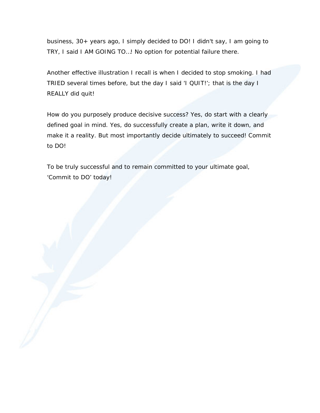business, 30+ years ago, I simply decided to DO! I didn't say, I am going to TRY, I said I AM GOING TO…! No option for potential failure there.

Another effective illustration I recall is when I decided to stop smoking. I had TRIED several times before, but the day I said 'I QUIT!'; that is the day I REALLY did quit!

How do you purposely produce decisive success? Yes, do start with a clearly defined goal in mind. Yes, do successfully create a plan, write it down, and make it a reality. But most importantly decide ultimately to succeed! Commit to DO!

To be truly successful and to remain committed to your ultimate goal, 'Commit to DO' today!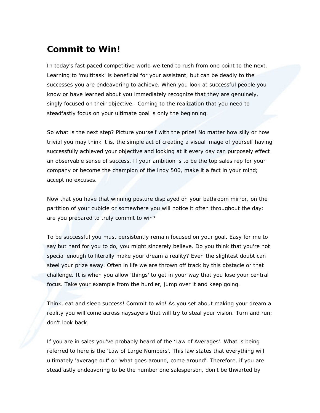#### <span id="page-5-0"></span>**Commit to Win!**

In today's fast paced competitive world we tend to rush from one point to the next. Learning to 'multitask' is beneficial for your assistant, but can be deadly to the successes you are endeavoring to achieve. When you look at successful people you know or have learned about you immediately recognize that they are genuinely, singly focused on their objective. Coming to the realization that you need to steadfastly focus on your ultimate goal is only the beginning.

So what is the next step? Picture yourself with the prize! No matter how silly or how trivial you may think it is, the simple act of creating a visual image of yourself having successfully achieved your objective and looking at it every day can purposely effect an observable sense of success. If your ambition is to be the top sales rep for your company or become the champion of the Indy 500, make it a fact in your mind; accept no excuses.

Now that you have that winning posture displayed on your bathroom mirror, on the partition of your cubicle or somewhere you will notice it often throughout the day; are you prepared to truly commit to win?

To be successful you must persistently remain focused on your goal. Easy for me to say but hard for you to do, you might sincerely believe. Do you think that you're not special enough to literally make your dream a reality? Even the slightest doubt can steel your prize away. Often in life we are thrown off track by this obstacle or that challenge. It is when you allow 'things' to get in your way that you lose your central focus. Take your example from the hurdler, jump over it and keep going.

Think, eat and sleep success! Commit to win! As you set about making your dream a reality you will come across naysayers that will try to steal your vision. Turn and run; don't look back!

If you are in sales you've probably heard of the 'Law of Averages'. What is being referred to here is the 'Law of Large Numbers'. This law states that everything will ultimately 'average out' or 'what goes around, come around'. Therefore, if you are steadfastly endeavoring to be the number one salesperson, don't be thwarted by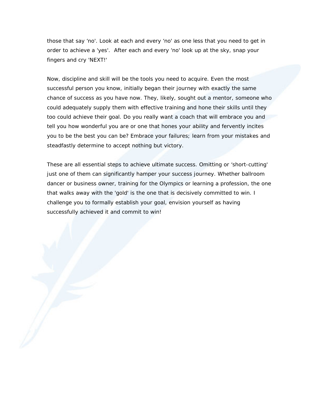those that say 'no'. Look at each and every 'no' as one less that you need to get in order to achieve a 'yes'. After each and every 'no' look up at the sky, snap your fingers and cry 'NEXT!'

Now, discipline and skill will be the tools you need to acquire. Even the most successful person you know, initially began their journey with exactly the same chance of success as you have now. They, likely, sought out a mentor, someone who could adequately supply them with effective training and hone their skills until they too could achieve their goal. Do you really want a coach that will embrace you and tell you how wonderful you are or one that hones your ability and fervently incites you to be the best you can be? Embrace your failures; learn from your mistakes and steadfastly determine to accept nothing but victory.

These are all essential steps to achieve ultimate success. Omitting or 'short-cutting' just one of them can significantly hamper your success journey. Whether ballroom dancer or business owner, training for the Olympics or learning a profession, the one that walks away with the 'gold' is the one that is decisively committed to win. I challenge you to formally establish your goal, envision yourself as having successfully achieved it and commit to win!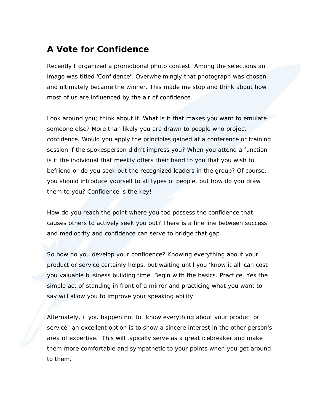### <span id="page-7-0"></span>**A Vote for Confidence**

Recently I organized a promotional photo contest. Among the selections an image was titled 'Confidence'. Overwhelmingly that photograph was chosen and ultimately became the winner. This made me stop and think about how most of us are influenced by the air of confidence.

Look around you; think about it. What is it that makes you want to emulate someone else? More than likely you are drawn to people who project confidence. Would you apply the principles gained at a conference or training session if the spokesperson didn't impress you? When you attend a function is it the individual that meekly offers their hand to you that you wish to befriend or do you seek out the recognized leaders in the group? Of course, you should introduce yourself to all types of people, but how do you draw them to you? Confidence is the key!

How do you reach the point where you too possess the confidence that causes others to actively seek you out? There is a fine line between success and mediocrity and confidence can serve to bridge that gap.

So how do you develop your confidence? Knowing everything about your product or service certainly helps, but waiting until you 'know it all' can cost you valuable business building time. Begin with the basics. Practice. Yes the simple act of standing in front of a mirror and practicing what you want to say will allow you to improve your speaking ability.

Alternately, if you happen not to "know everything about your product or service" an excellent option is to show a sincere interest in the other person's area of expertise. This will typically serve as a great icebreaker and make them more comfortable and sympathetic to your points when you get around to them.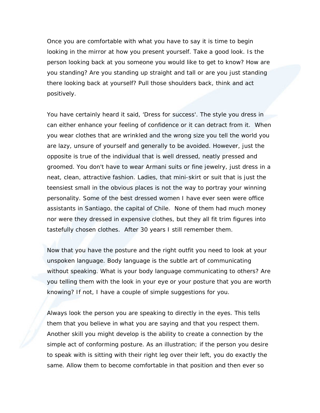Once you are comfortable with what you have to say it is time to begin looking in the mirror at how you present yourself. Take a good look. Is the person looking back at you someone you would like to get to know? How are you standing? Are you standing up straight and tall or are you just standing there looking back at yourself? Pull those shoulders back, think and act positively.

You have certainly heard it said, 'Dress for success'. The style you dress in can either enhance your feeling of confidence or it can detract from it. When you wear clothes that are wrinkled and the wrong size you tell the world you are lazy, unsure of yourself and generally to be avoided. However, just the opposite is true of the individual that is well dressed, neatly pressed and groomed. You don't have to wear Armani suits or fine jewelry, just dress in a neat, clean, attractive fashion. Ladies, that mini-skirt or suit that is just the teensiest small in the obvious places is not the way to portray your winning personality. Some of the best dressed women I have ever seen were office assistants in Santiago, the capital of Chile. None of them had much money nor were they dressed in expensive clothes, but they all fit trim figures into tastefully chosen clothes. After 30 years I still remember them.

Now that you have the posture and the right outfit you need to look at your unspoken language. Body language is the subtle art of communicating without speaking. What is your body language communicating to others? Are you telling them with the look in your eye or your posture that you are worth knowing? If not, I have a couple of simple suggestions for you.

Always look the person you are speaking to directly in the eyes. This tells them that you believe in what you are saying and that you respect them. Another skill you might develop is the ability to create a connection by the simple act of conforming posture. As an illustration; if the person you desire to speak with is sitting with their right leg over their left, you do exactly the same. Allow them to become comfortable in that position and then ever so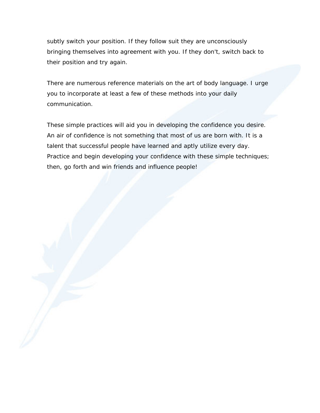subtly switch your position. If they follow suit they are unconsciously bringing themselves into agreement with you. If they don't, switch back to their position and try again.

There are numerous reference materials on the art of body language. I urge you to incorporate at least a few of these methods into your daily communication.

These simple practices will aid you in developing the confidence you desire. An air of confidence is not something that most of us are born with. It is a talent that successful people have learned and aptly utilize every day. Practice and begin developing your confidence with these simple techniques; then, go forth and win friends and influence people!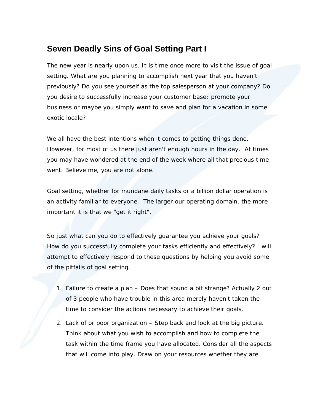#### <span id="page-10-0"></span>**Seven Deadly Sins of Goal Setting Part I**

The new year is nearly upon us. It is time once more to visit the issue of goal setting. What are you planning to accomplish next year that you haven't previously? Do you see yourself as the top salesperson at your company? Do you desire to successfully increase your customer base; promote your business or maybe you simply want to save and plan for a vacation in some exotic locale?

We all have the best intentions when it comes to getting things done. However, for most of us there just aren't enough hours in the day. At times you may have wondered at the end of the week where all that precious time went. Believe me, you are not alone.

Goal setting, whether for mundane daily tasks or a billion dollar operation is an activity familiar to everyone. The larger our operating domain, the more important it is that we "get it right".

So just what can you do to effectively guarantee you achieve your goals? How do you successfully complete your tasks efficiently and effectively? I will attempt to effectively respond to these questions by helping you avoid some of the pitfalls of goal setting.

- 1. Failure to create a plan Does that sound a bit strange? Actually 2 out of 3 people who have trouble in this area merely haven't taken the time to consider the actions necessary to achieve their goals.
- 2. Lack of or poor organization Step back and look at the big picture. Think about what you wish to accomplish and how to complete the task within the time frame you have allocated. Consider all the aspects that will come into play. Draw on your resources whether they are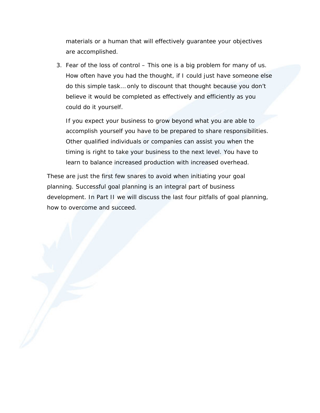materials or a human that will effectively guarantee your objectives are accomplished.

3. Fear of the loss of control – This one is a big problem for many of us. How often have you had the thought, if I could just have someone else do this simple task… only to discount that thought because you don't believe it would be completed as effectively and efficiently as you could do it yourself.

If you expect your business to grow beyond what you are able to accomplish yourself you have to be prepared to share responsibilities. Other qualified individuals or companies can assist you when the timing is right to take your business to the next level. You have to learn to balance increased production with increased overhead.

These are just the first few snares to avoid when initiating your goal planning. Successful goal planning is an integral part of business development. In Part II we will discuss the last four pitfalls of goal planning, how to overcome and succeed.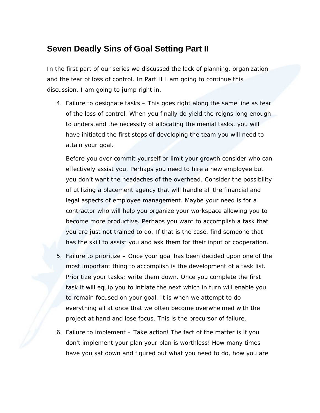#### <span id="page-12-0"></span>**Seven Deadly Sins of Goal Setting Part II**

In the first part of our series we discussed the lack of planning, organization and the fear of loss of control. In Part II I am going to continue this discussion. I am going to jump right in.

4. Failure to designate tasks – This goes right along the same line as fear of the loss of control. When you finally do yield the reigns long enough to understand the necessity of allocating the menial tasks, you will have initiated the first steps of developing the team you will need to attain your goal.

Before you over commit yourself or limit your growth consider who can effectively assist you. Perhaps you need to hire a new employee but you don't want the headaches of the overhead. Consider the possibility of utilizing a placement agency that will handle all the financial and legal aspects of employee management. Maybe your need is for a contractor who will help you organize your workspace allowing you to become more productive. Perhaps you want to accomplish a task that you are just not trained to do. If that is the case, find someone that has the skill to assist you and ask them for their input or cooperation.

- 5. Failure to prioritize Once your goal has been decided upon one of the most important thing to accomplish is the development of a task list. Prioritize your tasks; write them down. Once you complete the first task it will equip you to initiate the next which in turn will enable you to remain focused on your goal. It is when we attempt to do everything all at once that we often become overwhelmed with the project at hand and lose focus. This is the precursor of failure.
- 6. Failure to implement Take action! The fact of the matter is if you don't implement your plan your plan is worthless! How many times have you sat down and figured out what you need to do, how you are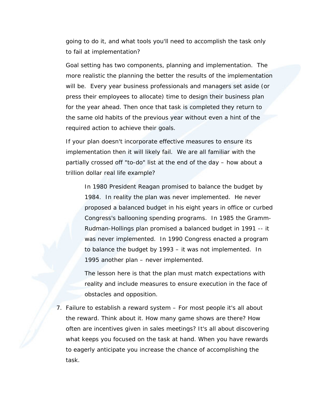going to do it, and what tools you'll need to accomplish the task only to fail at implementation?

Goal setting has two components, planning and implementation. The more realistic the planning the better the results of the implementation will be. Every year business professionals and managers set aside (or press their employees to allocate) time to design their business plan for the year ahead. Then once that task is completed they return to the same old habits of the previous year without even a hint of the required action to achieve their goals.

If your plan doesn't incorporate effective measures to ensure its implementation then it will likely fail. We are all familiar with the partially crossed off "to-do" list at the end of the day – how about a trillion dollar real life example?

In 1980 President Reagan promised to balance the budget by 1984. In reality the plan was never implemented. He never proposed a balanced budget in his eight years in office or curbed Congress's ballooning spending programs. In 1985 the Gramm-Rudman-Hollings plan promised a balanced budget in 1991 -- it was never implemented. In 1990 Congress enacted a program to balance the budget by 1993 – it was not implemented. In 1995 another plan – never implemented.

The lesson here is that the plan must match expectations with reality and include measures to ensure execution in the face of obstacles and opposition.

7. Failure to establish a reward system – For most people it's all about the reward. Think about it. How many game shows are there? How often are incentives given in sales meetings? It's all about discovering what keeps you focused on the task at hand. When you have rewards to eagerly anticipate you increase the chance of accomplishing the task.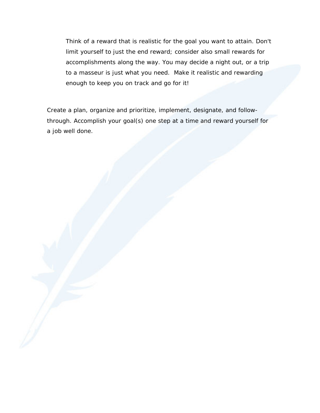Think of a reward that is realistic for the goal you want to attain. Don't limit yourself to just the end reward; consider also small rewards for accomplishments along the way. You may decide a night out, or a trip to a masseur is just what you need. Make it realistic and rewarding enough to keep you on track and go for it!

Create a plan, organize and prioritize, implement, designate, and followthrough. Accomplish your goal(s) one step at a time and reward yourself for a job well done.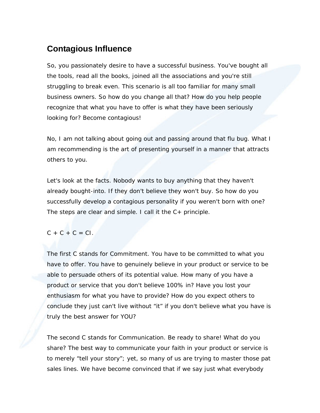#### <span id="page-15-0"></span>**Contagious Influence**

So, you passionately desire to have a successful business. You've bought all the tools, read all the books, joined all the associations and you're still struggling to break even. This scenario is all too familiar for many small business owners. So how do you change all that? How do you help people recognize that what you have to offer is what they have been seriously looking for? Become contagious!

No, I am not talking about going out and passing around that flu bug. What I am recommending is the art of presenting yourself in a manner that attracts others to you.

Let's look at the facts. Nobody wants to buy anything that they haven't already bought-into. If they don't believe they won't buy. So how do you successfully develop a contagious personality if you weren't born with one? The steps are clear and simple. I call it the C+ principle.

#### $C + C + C = C1$ .

The first C stands for Commitment. You have to be committed to what you have to offer. You have to genuinely believe in your product or service to be able to persuade others of its potential value. How many of you have a product or service that you don't believe 100% in? Have you lost your enthusiasm for what you have to provide? How do you expect others to conclude they just can't live without "it" if you don't believe what you have is truly the best answer for YOU?

The second C stands for Communication. Be ready to share! What do you share? The best way to communicate your faith in your product or service is to merely "tell your story"; yet, so many of us are trying to master those pat sales lines. We have become convinced that if we say just what everybody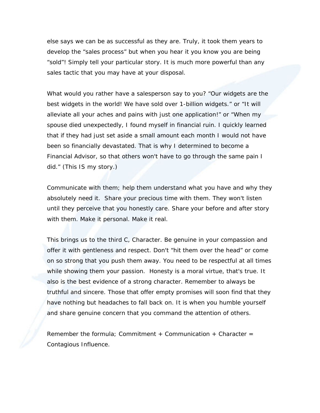else says we can be as successful as they are. Truly, it took them years to develop the "sales process" but when you hear it you know you are being "sold"! Simply tell your particular story. It is much more powerful than any sales tactic that you may have at your disposal.

What would you rather have a salesperson say to you? "Our widgets are the best widgets in the world! We have sold over 1-billion widgets." or "It will alleviate all your aches and pains with just one application!" or "When my spouse died unexpectedly, I found myself in financial ruin. I quickly learned that if they had just set aside a small amount each month I would not have been so financially devastated. That is why I determined to become a Financial Advisor, so that others won't have to go through the same pain I did." (This IS my story.)

Communicate with them; help them understand what you have and why they absolutely need it. Share your precious time with them. They won't listen until they perceive that you honestly care. Share your before and after story with them. Make it personal. Make it real.

This brings us to the third C, Character. Be genuine in your compassion and offer it with gentleness and respect. Don't "hit them over the head" or come on so strong that you push them away. You need to be respectful at all times while showing them your passion. Honesty is a moral virtue, that's true. It also is the best evidence of a strong character. Remember to always be truthful and sincere. Those that offer empty promises will soon find that they have nothing but headaches to fall back on. It is when you humble yourself and share genuine concern that you command the attention of others.

Remember the formula: Commitment  $+$  Communication  $+$  Character  $=$ Contagious Influence.